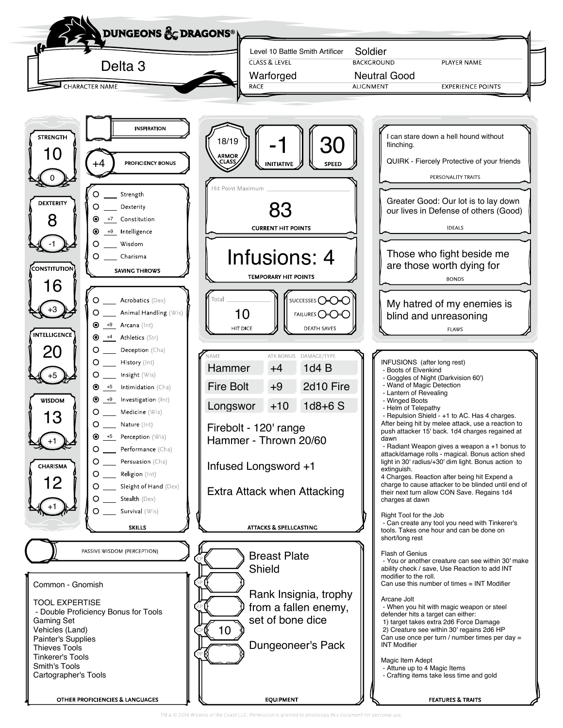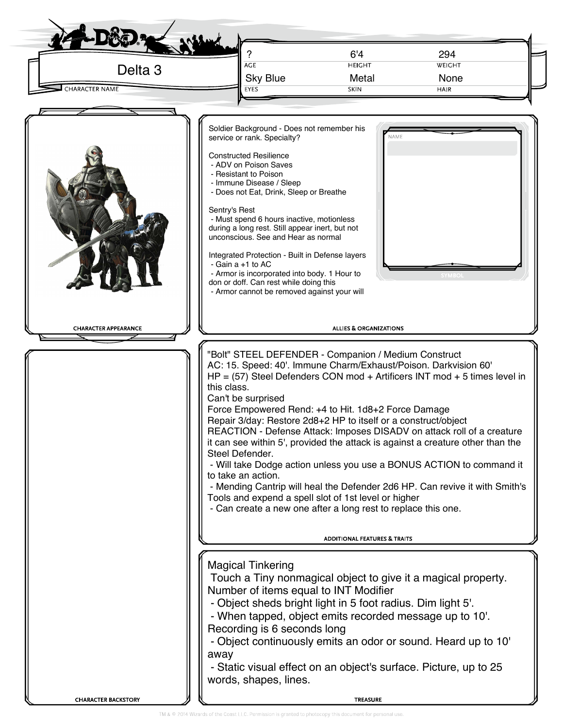| Delta <sub>3</sub><br><b>CHARACTER NAME</b> | AGE<br><b>Sky Blue</b><br>EYES                                                                                                                                                                                                                                                                                                                                                                                                                                                                                                                                                                                                                                                                                                                                                                                         | 6'4<br><b>HEIGHT</b><br>Metal<br><b>SKIN</b> | 294<br>WEIGHT<br>None<br>HAIR                                                                                                                       |  |
|---------------------------------------------|------------------------------------------------------------------------------------------------------------------------------------------------------------------------------------------------------------------------------------------------------------------------------------------------------------------------------------------------------------------------------------------------------------------------------------------------------------------------------------------------------------------------------------------------------------------------------------------------------------------------------------------------------------------------------------------------------------------------------------------------------------------------------------------------------------------------|----------------------------------------------|-----------------------------------------------------------------------------------------------------------------------------------------------------|--|
| <b>CHARACTER APPEARANCE</b>                 | Soldier Background - Does not remember his<br>service or rank. Specialty?<br><b>Constructed Resilience</b><br>- ADV on Poison Saves<br>- Resistant to Poison<br>- Immune Disease / Sleep<br>- Does not Eat, Drink, Sleep or Breathe<br>Sentry's Rest<br>- Must spend 6 hours inactive, motionless<br>during a long rest. Still appear inert, but not<br>unconscious. See and Hear as normal<br>Integrated Protection - Built in Defense layers<br>- Gain a +1 to AC<br>- Armor is incorporated into body. 1 Hour to<br>don or doff. Can rest while doing this<br>- Armor cannot be removed against your will<br>"Bolt" STEEL DEFENDER - Companion / Medium Construct<br>AC: 15. Speed: 40'. Immune Charm/Exhaust/Poison. Darkvision 60'<br>$HP = (57)$ Steel Defenders CON mod + Artificers INT mod + 5 times level in | NAME<br><b>ALLIES &amp; ORGANIZATIONS</b>    |                                                                                                                                                     |  |
|                                             | this class.<br>Can't be surprised<br>Force Empowered Rend: +4 to Hit. 1d8+2 Force Damage<br>Repair 3/day: Restore 2d8+2 HP to itself or a construct/object<br>REACTION - Defense Attack: Imposes DISADV on attack roll of a creature<br>it can see within 5', provided the attack is against a creature other than the<br>Steel Defender.<br>to take an action.<br>Tools and expend a spell slot of 1st level or higher<br>- Can create a new one after a long rest to replace this one.                                                                                                                                                                                                                                                                                                                               |                                              | - Will take Dodge action unless you use a BONUS ACTION to command it<br>- Mending Cantrip will heal the Defender 2d6 HP. Can revive it with Smith's |  |
|                                             | <b>Magical Tinkering</b><br>Touch a Tiny nonmagical object to give it a magical property.<br>Number of items equal to INT Modifier<br>- Object sheds bright light in 5 foot radius. Dim light 5'.<br>- When tapped, object emits recorded message up to 10'.<br>Recording is 6 seconds long<br>- Object continuously emits an odor or sound. Heard up to 10'<br>away<br>- Static visual effect on an object's surface. Picture, up to 25<br>words, shapes, lines.                                                                                                                                                                                                                                                                                                                                                      | <b>ADDITIONAL FEATURES &amp; TRAITS</b>      |                                                                                                                                                     |  |
|                                             |                                                                                                                                                                                                                                                                                                                                                                                                                                                                                                                                                                                                                                                                                                                                                                                                                        |                                              |                                                                                                                                                     |  |